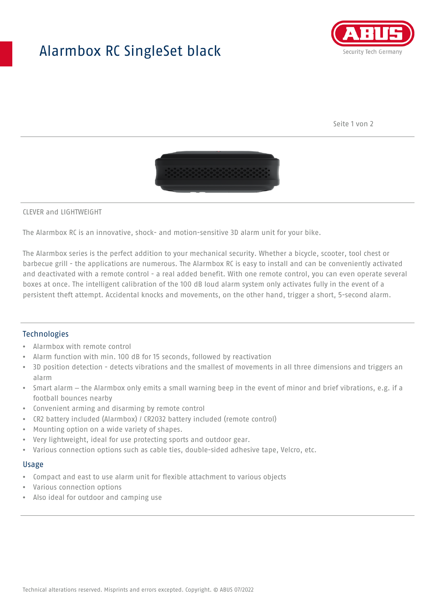# Alarmbox RC SingleSet black



Seite 1 von 2



#### CLEVER and LIGHTWEIGHT

The Alarmbox RC is an innovative, shock- and motion-sensitive 3D alarm unit for your bike.

The Alarmbox series is the perfect addition to your mechanical security. Whether a bicycle, scooter, tool chest or barbecue grill - the applications are numerous. The Alarmbox RC is easy to install and can be conveniently activated and deactivated with a remote control - a real added benefit. With one remote control, you can even operate several boxes at once. The intelligent calibration of the 100 dB loud alarm system only activates fully in the event of a persistent theft attempt. Accidental knocks and movements, on the other hand, trigger a short, 5-second alarm.

## **Technologies**

- Alarmbox with remote control
- Alarm function with min. 100 dB for 15 seconds, followed by reactivation
- 3D position detection detects vibrations and the smallest of movements in all three dimensions and triggers an alarm
- Smart alarm the Alarmbox only emits a small warning beep in the event of minor and brief vibrations, e.g. if a football bounces nearby
- Convenient arming and disarming by remote control
- CR2 battery included (Alarmbox) / CR2032 battery included (remote control)
- Mounting option on a wide variety of shapes.
- Very lightweight, ideal for use protecting sports and outdoor gear.
- Various connection options such as cable ties, double-sided adhesive tape, Velcro, etc.

# Usage

- Compact and east to use alarm unit for flexible attachment to various objects
- Various connection options
- Also ideal for outdoor and camping use